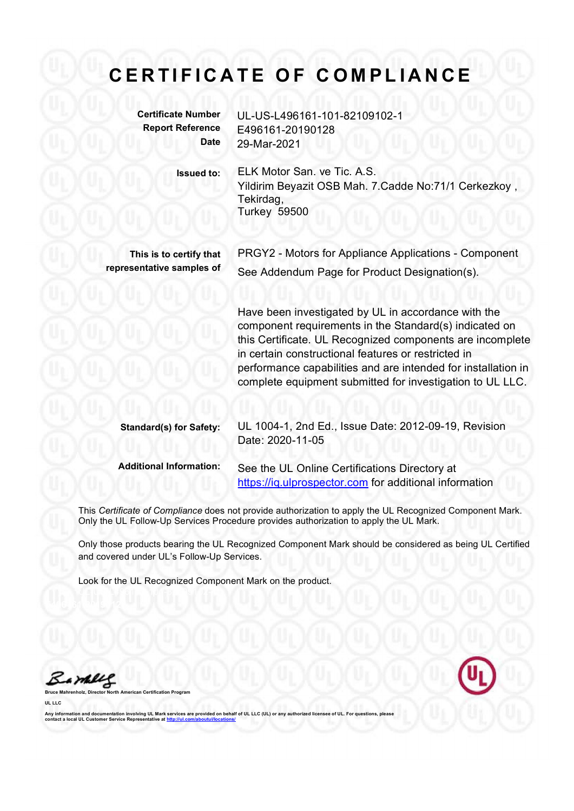## CERTIFICATE OF COMPLIANCE

Certificate Number UL-US-L496161-101-82109102-1 Report Reference E496161-20190128 Date 29-Mar-2021

Issued to: ELK Motor San. ve Tic. A.S.

Yildirim Beyazit OSB Mah. 7.Cadde No:71/1 Cerkezkoy, Tekirdag, Turkey 59500

This is to certify that PRGY2 - Motors for Appliance Applications - Component representative samples of See Addendum Page for Product Designation(s).

> Have been investigated by UL in accordance with the component requirements in the Standard(s) indicated on this Certificate. UL Recognized components are incomplete in certain constructional features or restricted in performance capabilities and are intended for installation in complete equipment submitted for investigation to UL LLC.

| <b>Standard(s) for Safety:</b> | UL 1004-1, 2nd Ed., Issue Date: 2012-09-19, Revision<br>Date: 2020-11-05                                |
|--------------------------------|---------------------------------------------------------------------------------------------------------|
| <b>Additional Information:</b> | See the UL Online Certifications Directory at<br>https://iq.ulprospector.com for additional information |

This Certificate of Compliance does not provide authorization to apply the UL Recognized Component Mark. Only the UL Follow-Up Services Procedure provides authorization to apply the UL Mark.

Only those products bearing the UL Recognized Component Mark should be considered as being UL Certified and covered under UL's Follow-Up Services.

Look for the UL Recognized Component Mark on the product.

Bambles Bruce Mahrenholz, Director North American Certification Program

UL LLC



Any information and documentation involving UL Mark services are provided on behalf of UL LLC (UL) or any authorized licensee of UL. For questions, please<br>contact a local UL Customer Service Representative at <u>http://ul.co</u>